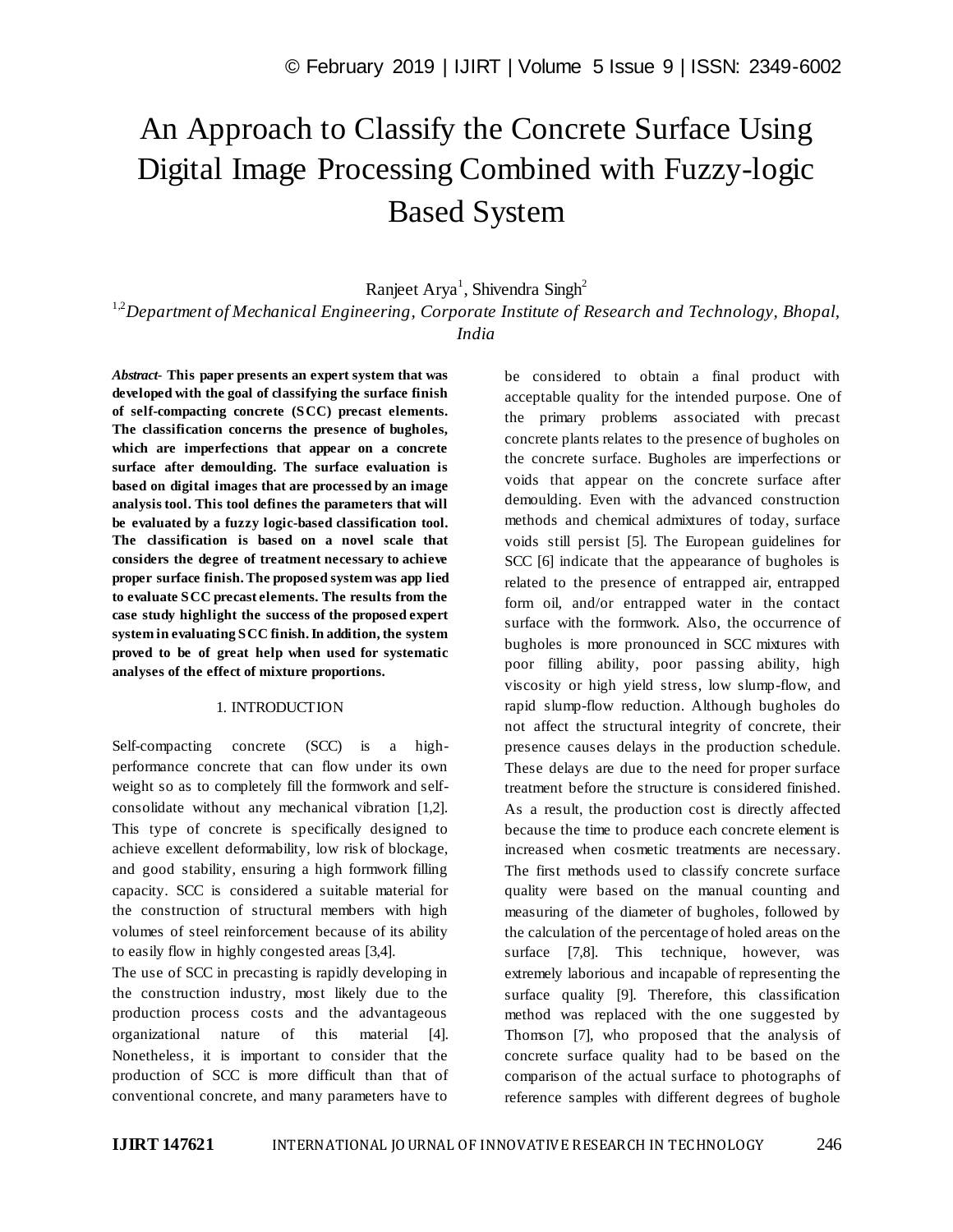# An Approach to Classify the Concrete Surface Using Digital Image Processing Combined with Fuzzy-logic Based System

Ranjeet Arya<sup>1</sup>, Shivendra Singh<sup>2</sup>

<sup>1,2</sup>Department of Mechanical Engineering, Corporate Institute of Research and Technology, Bhopal, *India*

*Abstract*- **This paper presents an expert system that was developed with the goal of classifying the surface finish of self-compacting concrete (SCC) precast elements. The classification concerns the presence of bugholes, which are imperfections that appear on a concrete surface after demoulding. The surface evaluation is based on digital images that are processed by an image analysis tool. This tool defines the parameters that will be evaluated by a fuzzy logic-based classification tool. The classification is based on a novel scale that considers the degree of treatment necessary to achieve proper surface finish. The proposed system was app lied to evaluate SCC precast elements. The results from the case study highlight the success of the proposed expert system in evaluating SCC finish. In addition, the system proved to be of great help when used for systematic analyses of the effect of mixture proportions.**

### 1. INTRODUCTION

Self-compacting concrete (SCC) is a highperformance concrete that can flow under its own weight so as to completely fill the formwork and selfconsolidate without any mechanical vibration [1,2]. This type of concrete is specifically designed to achieve excellent deformability, low risk of blockage, and good stability, ensuring a high formwork filling capacity. SCC is considered a suitable material for the construction of structural members with high volumes of steel reinforcement because of its ability to easily flow in highly congested areas [3,4].

The use of SCC in precasting is rapidly developing in the construction industry, most likely due to the production process costs and the advantageous organizational nature of this material [4]. Nonetheless, it is important to consider that the production of SCC is more difficult than that of conventional concrete, and many parameters have to

be considered to obtain a final product with acceptable quality for the intended purpose. One of the primary problems associated with precast concrete plants relates to the presence of bugholes on the concrete surface. Bugholes are imperfections or voids that appear on the concrete surface after demoulding. Even with the advanced construction methods and chemical admixtures of today, surface voids still persist [5]. The European guidelines for SCC [6] indicate that the appearance of bugholes is related to the presence of entrapped air, entrapped form oil, and/or entrapped water in the contact surface with the formwork. Also, the occurrence of bugholes is more pronounced in SCC mixtures with poor filling ability, poor passing ability, high viscosity or high yield stress, low slump-flow, and rapid slump-flow reduction. Although bugholes do not affect the structural integrity of concrete, their presence causes delays in the production schedule. These delays are due to the need for proper surface treatment before the structure is considered finished. As a result, the production cost is directly affected because the time to produce each concrete element is increased when cosmetic treatments are necessary. The first methods used to classify concrete surface quality were based on the manual counting and measuring of the diameter of bugholes, followed by the calculation of the percentage of holed areas on the surface [7,8]. This technique, however, was extremely laborious and incapable of representing the surface quality [9]. Therefore, this classification method was replaced with the one suggested by Thomson [7], who proposed that the analysis of concrete surface quality had to be based on the comparison of the actual surface to photographs of reference samples with different degrees of bughole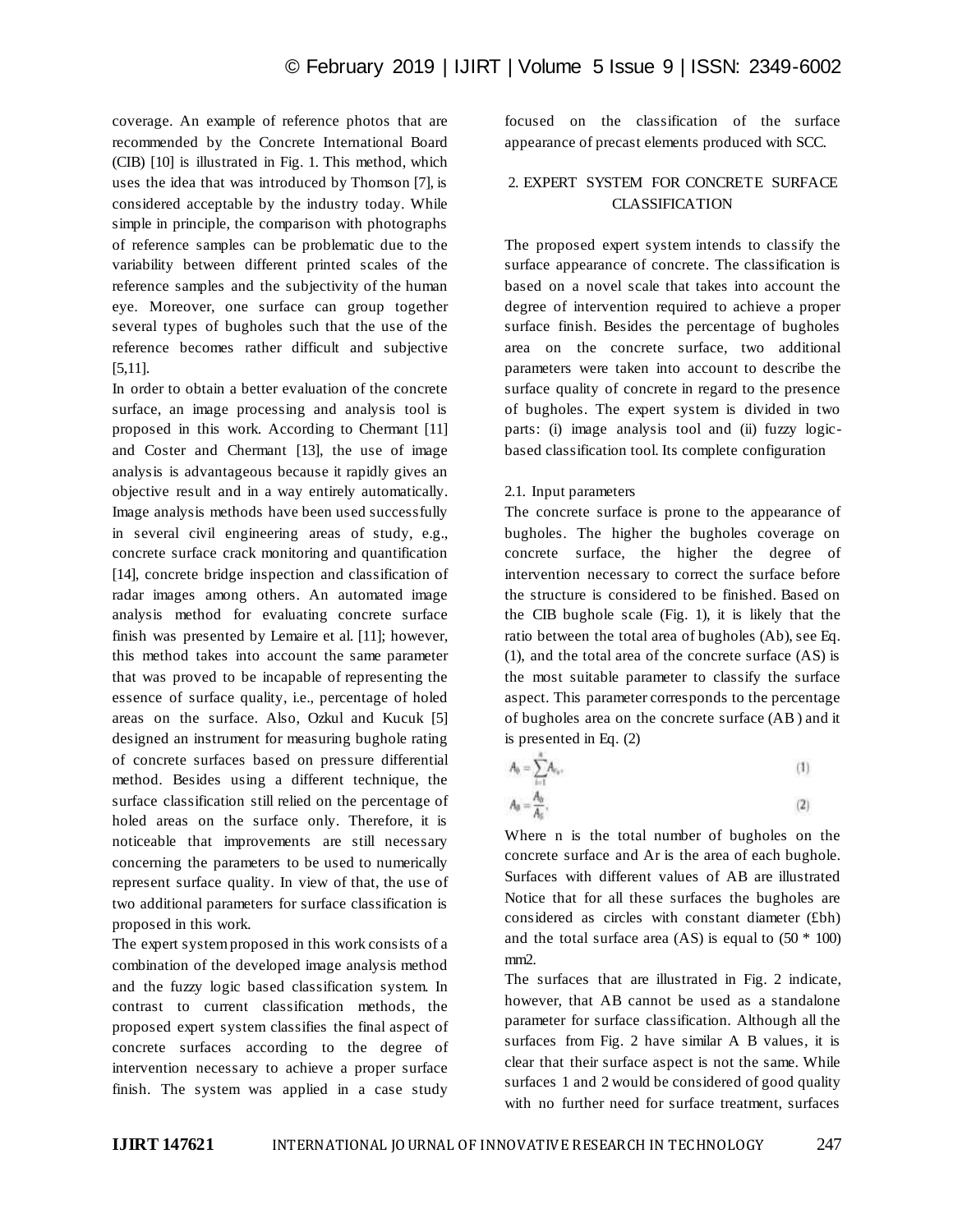coverage. An example of reference photos that are recommended by the Concrete International Board (CIB) [10] is illustrated in Fig. 1. This method, which uses the idea that was introduced by Thomson [7], is considered acceptable by the industry today. While simple in principle, the comparison with photographs of reference samples can be problematic due to the variability between different printed scales of the reference samples and the subjectivity of the human eye. Moreover, one surface can group together several types of bugholes such that the use of the reference becomes rather difficult and subjective [5,11].

In order to obtain a better evaluation of the concrete surface, an image processing and analysis tool is proposed in this work. According to Chermant [11] and Coster and Chermant [13], the use of image analysis is advantageous because it rapidly gives an objective result and in a way entirely automatically. Image analysis methods have been used successfully in several civil engineering areas of study, e.g., concrete surface crack monitoring and quantification [14], concrete bridge inspection and classification of radar images among others. An automated image analysis method for evaluating concrete surface finish was presented by Lemaire et al. [11]; however, this method takes into account the same parameter that was proved to be incapable of representing the essence of surface quality, i.e., percentage of holed areas on the surface. Also, Ozkul and Kucuk [5] designed an instrument for measuring bughole rating of concrete surfaces based on pressure differential method. Besides using a different technique, the surface classification still relied on the percentage of holed areas on the surface only. Therefore, it is noticeable that improvements are still necessary concerning the parameters to be used to numerically represent surface quality. In view of that, the use of two additional parameters for surface classification is proposed in this work.

The expert system proposed in this work consists of a combination of the developed image analysis method and the fuzzy logic based classification system. In contrast to current classification methods, the proposed expert system classifies the final aspect of concrete surfaces according to the degree of intervention necessary to achieve a proper surface finish. The system was applied in a case study focused on the classification of the surface appearance of precast elements produced with SCC.

## 2. EXPERT SYSTEM FOR CONCRETE SURFACE CLASSIFICATION

The proposed expert system intends to classify the surface appearance of concrete. The classification is based on a novel scale that takes into account the degree of intervention required to achieve a proper surface finish. Besides the percentage of bugholes area on the concrete surface, two additional parameters were taken into account to describe the surface quality of concrete in regard to the presence of bugholes. The expert system is divided in two parts: (i) image analysis tool and (ii) fuzzy logicbased classification tool. Its complete configuration

## 2.1. Input parameters

The concrete surface is prone to the appearance of bugholes. The higher the bugholes coverage on concrete surface, the higher the degree of intervention necessary to correct the surface before the structure is considered to be finished. Based on the CIB bughole scale (Fig. 1), it is likely that the ratio between the total area of bugholes (Ab), see Eq. (1), and the total area of the concrete surface (AS) is the most suitable parameter to classify the surface aspect. This parameter corresponds to the percentage of bugholes area on the concrete surface (AB ) and it is presented in Eq. (2)

$$
A_0 = \sum_{n=1}^{\infty} A_{\nu_n},\tag{1}
$$

$$
A_0 = \frac{A_0}{A_0},\tag{2}
$$

Where n is the total number of bugholes on the concrete surface and Ar is the area of each bughole. Surfaces with different values of AB are illustrated Notice that for all these surfaces the bugholes are considered as circles with constant diameter (£bh) and the total surface area  $(AS)$  is equal to  $(50 * 100)$ mm<sub>2</sub>.

The surfaces that are illustrated in Fig. 2 indicate, however, that AB cannot be used as a standalone parameter for surface classification. Although all the surfaces from Fig. 2 have similar A B values, it is clear that their surface aspect is not the same. While surfaces 1 and 2 would be considered of good quality with no further need for surface treatment, surfaces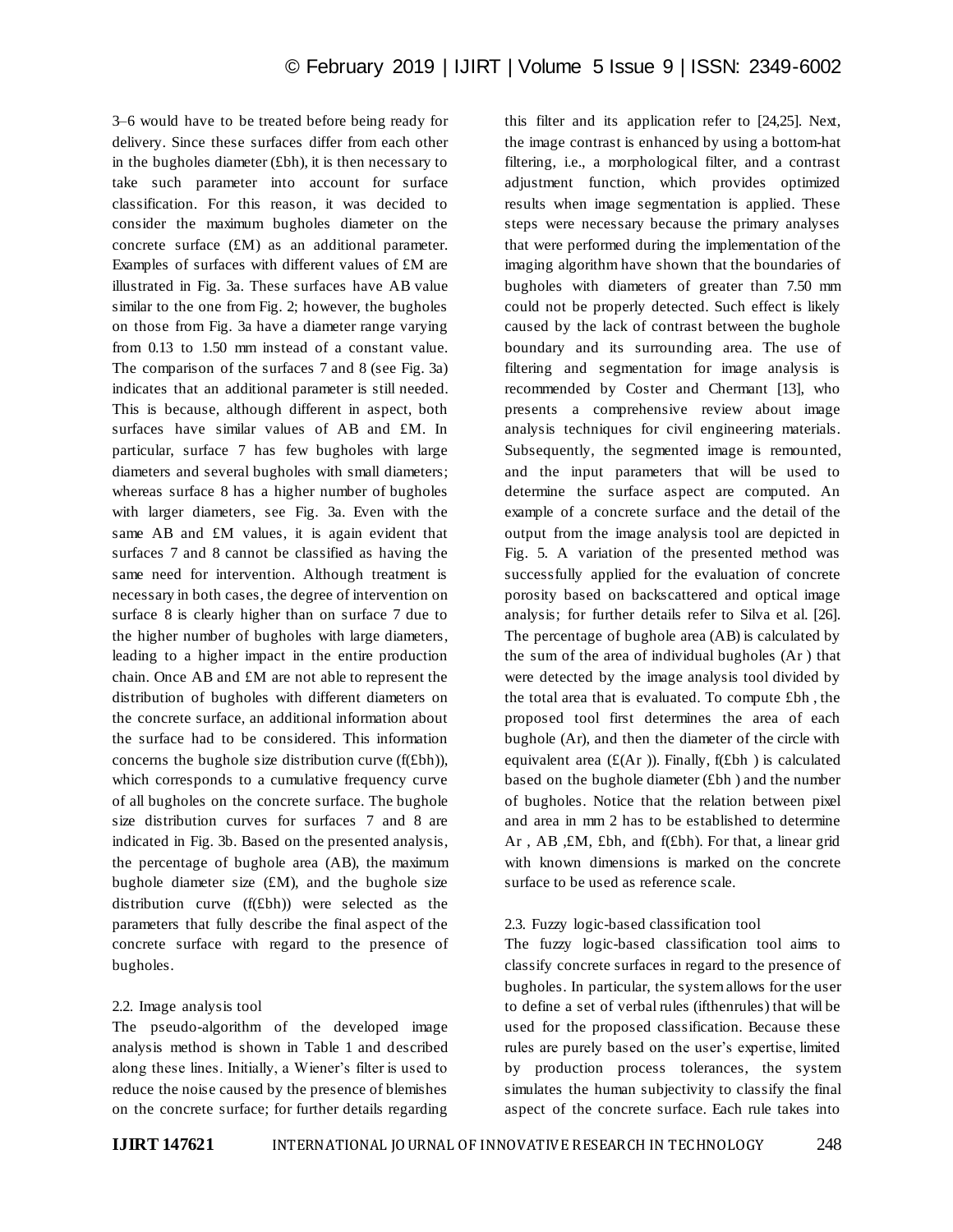3–6 would have to be treated before being ready for delivery. Since these surfaces differ from each other in the bugholes diameter (£bh), it is then necessary to take such parameter into account for surface classification. For this reason, it was decided to consider the maximum bugholes diameter on the concrete surface (£M) as an additional parameter. Examples of surfaces with different values of £M are illustrated in Fig. 3a. These surfaces have AB value similar to the one from Fig. 2; however, the bugholes on those from Fig. 3a have a diameter range varying from 0.13 to 1.50 mm instead of a constant value. The comparison of the surfaces 7 and 8 (see Fig. 3a) indicates that an additional parameter is still needed. This is because, although different in aspect, both surfaces have similar values of AB and £M. In particular, surface 7 has few bugholes with large diameters and several bugholes with small diameters; whereas surface 8 has a higher number of bugholes with larger diameters, see Fig. 3a. Even with the same AB and £M values, it is again evident that surfaces 7 and 8 cannot be classified as having the same need for intervention. Although treatment is necessary in both cases, the degree of intervention on surface 8 is clearly higher than on surface 7 due to the higher number of bugholes with large diameters, leading to a higher impact in the entire production chain. Once AB and £M are not able to represent the distribution of bugholes with different diameters on the concrete surface, an additional information about the surface had to be considered. This information concerns the bughole size distribution curve (f(£bh)), which corresponds to a cumulative frequency curve of all bugholes on the concrete surface. The bughole size distribution curves for surfaces 7 and 8 are indicated in Fig. 3b. Based on the presented analysis, the percentage of bughole area (AB), the maximum bughole diameter size  $(\text{\pounds}M)$ , and the bughole size distribution curve (f(£bh)) were selected as the parameters that fully describe the final aspect of the concrete surface with regard to the presence of bugholes.

#### 2.2. Image analysis tool

The pseudo-algorithm of the developed image analysis method is shown in Table 1 and described along these lines. Initially, a Wiener's filter is used to reduce the noise caused by the presence of blemishes on the concrete surface; for further details regarding

this filter and its application refer to [24,25]. Next, the image contrast is enhanced by using a bottom-hat filtering, i.e., a morphological filter, and a contrast adjustment function, which provides optimized results when image segmentation is applied. These steps were necessary because the primary analyses that were performed during the implementation of the imaging algorithm have shown that the boundaries of bugholes with diameters of greater than 7.50 mm could not be properly detected. Such effect is likely caused by the lack of contrast between the bughole boundary and its surrounding area. The use of filtering and segmentation for image analysis is recommended by Coster and Chermant [13], who presents a comprehensive review about image analysis techniques for civil engineering materials. Subsequently, the segmented image is remounted, and the input parameters that will be used to determine the surface aspect are computed. An example of a concrete surface and the detail of the output from the image analysis tool are depicted in Fig. 5. A variation of the presented method was successfully applied for the evaluation of concrete porosity based on backscattered and optical image analysis; for further details refer to Silva et al. [26]. The percentage of bughole area (AB) is calculated by the sum of the area of individual bugholes (Ar ) that were detected by the image analysis tool divided by the total area that is evaluated. To compute £bh , the proposed tool first determines the area of each bughole (Ar), and then the diameter of the circle with equivalent area  $(E(Ar))$ . Finally,  $f(Ebh)$  is calculated based on the bughole diameter (£bh ) and the number of bugholes. Notice that the relation between pixel and area in mm 2 has to be established to determine Ar , AB ,£M, £bh, and f(£bh). For that, a linear grid with known dimensions is marked on the concrete surface to be used as reference scale.

## 2.3. Fuzzy logic-based classification tool

The fuzzy logic-based classification tool aims to classify concrete surfaces in regard to the presence of bugholes. In particular, the system allows for the user to define a set of verbal rules (ifthenrules) that will be used for the proposed classification. Because these rules are purely based on the user's expertise, limited by production process tolerances, the system simulates the human subjectivity to classify the final aspect of the concrete surface. Each rule takes into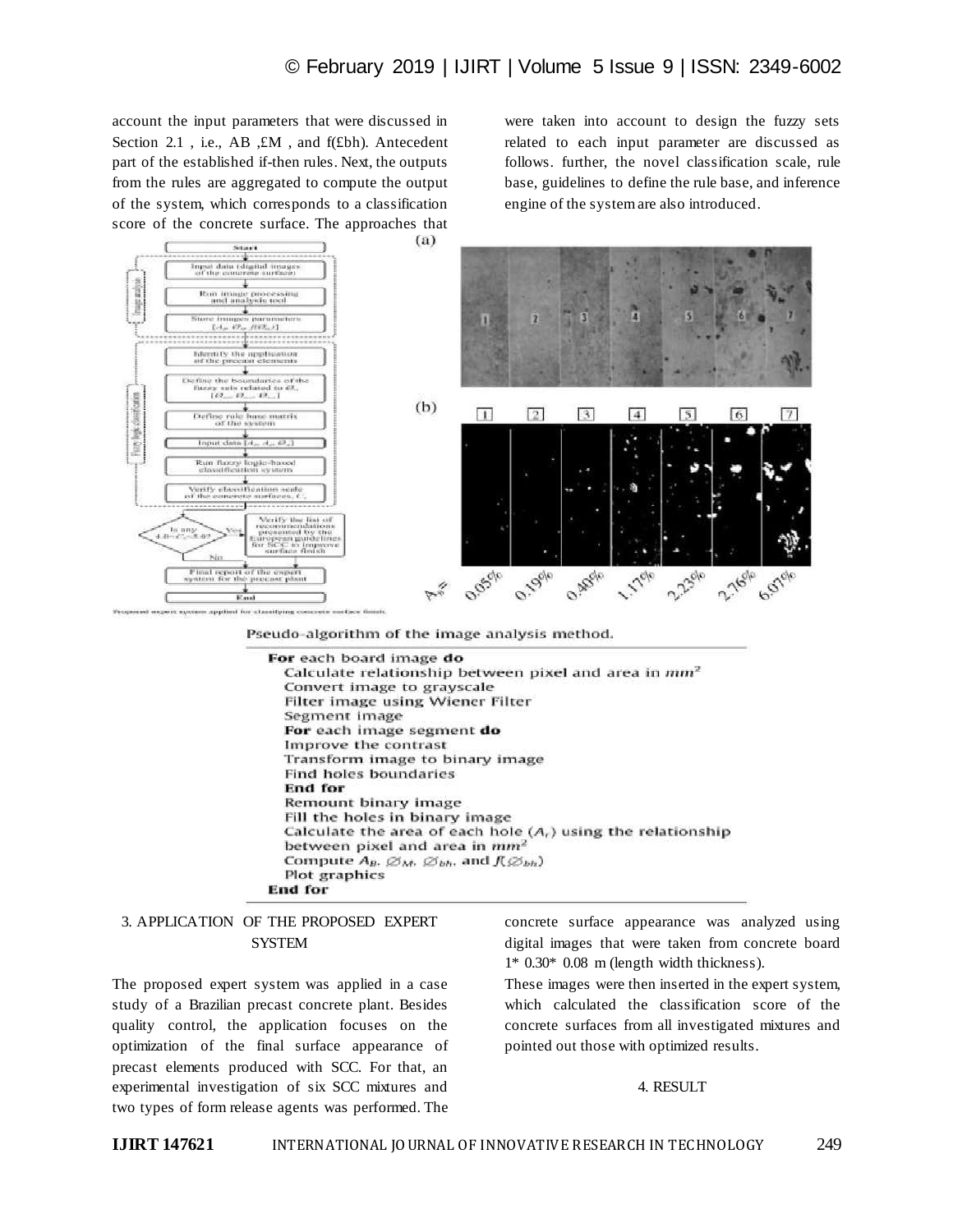account the input parameters that were discussed in Section 2.1, i.e., AB, £M, and f(£bh). Antecedent part of the established if-then rules. Next, the outputs from the rules are aggregated to compute the output of the system, which corresponds to a classification score of the concrete surface. The approaches that were taken into account to design the fuzzy sets related to each input parameter are discussed as follows. further, the novel classification scale, rule base, guidelines to define the rule base, and inference engine of the system are also introduced.



Pseudo-algorithm of the image analysis method.

| <b>For</b> each board image <b>do</b>                                      |
|----------------------------------------------------------------------------|
| Calculate relationship between pixel and area in mm <sup>2</sup>           |
| Convert image to grayscale                                                 |
| Filter image using Wiener Filter                                           |
| Segment image                                                              |
| For each image segment do                                                  |
| Improve the contrast                                                       |
| Transform image to binary image                                            |
| <b>Find holes boundaries</b>                                               |
| End for                                                                    |
| Remount binary image                                                       |
| Fill the holes in binary image                                             |
| Calculate the area of each hole $(Ar)$ using the relationship              |
| between pixel and area in mm <sup>2</sup>                                  |
| Compute $A_B$ , $\emptyset_M$ , $\emptyset_{bh}$ , and $f(\emptyset_{bh})$ |
| Plot graphics                                                              |
| <b>End for</b>                                                             |

## 3. APPLICATION OF THE PROPOSED EXPERT **SYSTEM**

The proposed expert system was applied in a case study of a Brazilian precast concrete plant. Besides quality control, the application focuses on the optimization of the final surface appearance of precast elements produced with SCC. For that, an experimental investigation of six SCC mixtures and two types of form release agents was performed. The

concrete surface appearance was analyzed using digital images that were taken from concrete board 1\* 0.30\* 0.08 m (length width thickness).

These images were then inserted in the expert system, which calculated the classification score of the concrete surfaces from all investigated mixtures and pointed out those with optimized results.

#### 4. RESULT

**IJIRT 147621** INTERNATIONAL JOURNAL OF INNOVATIVE RESEARCH IN TECHNOLOGY 249